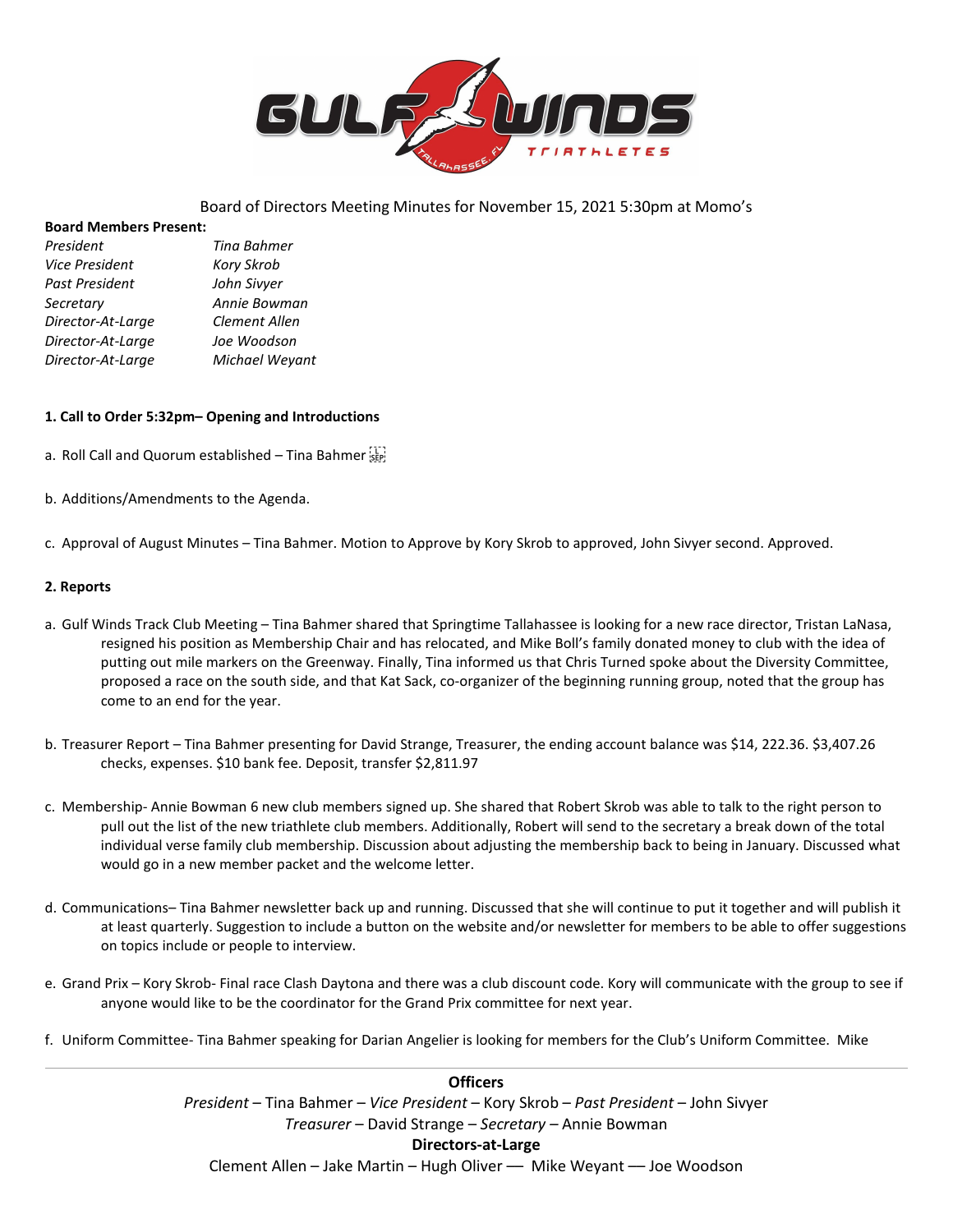

# Board of Directors Meeting Minutes for November 15, 2021 5:30pm at Momo's

### **Board Members Present:**

| President             | <b>Tina Bahmer</b> |
|-----------------------|--------------------|
| <b>Vice President</b> | <b>Kory Skrob</b>  |
| Past President        | John Sivyer        |
| Secretary             | Annie Bowman       |
| Director-At-Large     | Clement Allen      |
| Director-At-Large     | Joe Woodson        |
| Director-At-Large     | Michael Weyant     |

## **1. Call to Order 5:32pm– Opening and Introductions**

- a. Roll Call and Quorum established Tina Bahmer
- b. Additions/Amendments to the Agenda.
- c. Approval of August Minutes Tina Bahmer. Motion to Approve by Kory Skrob to approved, John Sivyer second. Approved.

## **2. Reports**

- a. Gulf Winds Track Club Meeting Tina Bahmer shared that Springtime Tallahassee is looking for a new race director, Tristan LaNasa, resigned his position as Membership Chair and has relocated, and Mike Boll's family donated money to club with the idea of putting out mile markers on the Greenway. Finally, Tina informed us that Chris Turned spoke about the Diversity Committee, proposed a race on the south side, and that Kat Sack, co-organizer of the beginning running group, noted that the group has come to an end for the year.
- b. Treasurer Report Tina Bahmer presenting for David Strange, Treasurer, the ending account balance was \$14, 222.36. \$3,407.26 checks, expenses. \$10 bank fee. Deposit, transfer \$2,811.97
- c. Membership- Annie Bowman 6 new club members signed up. She shared that Robert Skrob was able to talk to the right person to pull out the list of the new triathlete club members. Additionally, Robert will send to the secretary a break down of the total individual verse family club membership. Discussion about adjusting the membership back to being in January. Discussed what would go in a new member packet and the welcome letter.
- d. Communications– Tina Bahmer newsletter back up and running. Discussed that she will continue to put it together and will publish it at least quarterly. Suggestion to include a button on the website and/or newsletter for members to be able to offer suggestions on topics include or people to interview.
- e. Grand Prix Kory Skrob- Final race Clash Daytona and there was a club discount code. Kory will communicate with the group to see if anyone would like to be the coordinator for the Grand Prix committee for next year.
- f. Uniform Committee- Tina Bahmer speaking for Darian Angelier is looking for members for the Club's Uniform Committee. Mike

**Officers** *President* – Tina Bahmer – *Vice President* – Kory Skrob – *Past President* – John Sivyer *Treasurer* – David Strange – *Secretary –* Annie Bowman **Directors-at-Large** Clement Allen – Jake Martin – Hugh Oliver –– Mike Weyant –– Joe Woodson